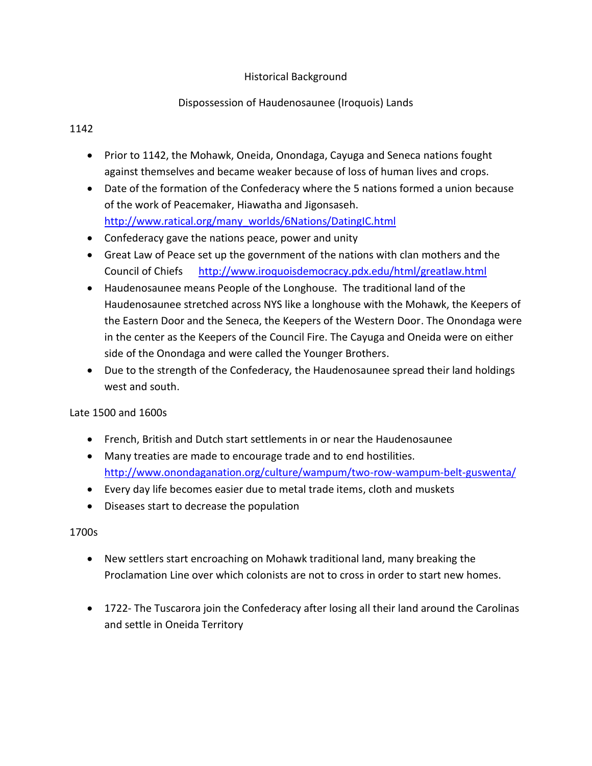# Historical Background

# Dispossession of Haudenosaunee (Iroquois) Lands

# 1142

- Prior to 1142, the Mohawk, Oneida, Onondaga, Cayuga and Seneca nations fought against themselves and became weaker because of loss of human lives and crops.
- Date of the formation of the Confederacy where the 5 nations formed a union because of the work of Peacemaker, Hiawatha and Jigonsaseh. [http://www.ratical.org/many\\_worlds/6Nations/DatingIC.html](http://www.ratical.org/many_worlds/6Nations/DatingIC.html)
- Confederacy gave the nations peace, power and unity
- Great Law of Peace set up the government of the nations with clan mothers and the Council of Chiefs <http://www.iroquoisdemocracy.pdx.edu/html/greatlaw.html>
- Haudenosaunee means People of the Longhouse. The traditional land of the Haudenosaunee stretched across NYS like a longhouse with the Mohawk, the Keepers of the Eastern Door and the Seneca, the Keepers of the Western Door. The Onondaga were in the center as the Keepers of the Council Fire. The Cayuga and Oneida were on either side of the Onondaga and were called the Younger Brothers.
- Due to the strength of the Confederacy, the Haudenosaunee spread their land holdings west and south.

# Late 1500 and 1600s

- French, British and Dutch start settlements in or near the Haudenosaunee
- Many treaties are made to encourage trade and to end hostilities. <http://www.onondaganation.org/culture/wampum/two-row-wampum-belt-guswenta/>
- Every day life becomes easier due to metal trade items, cloth and muskets
- Diseases start to decrease the population

# 1700s

- New settlers start encroaching on Mohawk traditional land, many breaking the Proclamation Line over which colonists are not to cross in order to start new homes.
- 1722- The Tuscarora join the Confederacy after losing all their land around the Carolinas and settle in Oneida Territory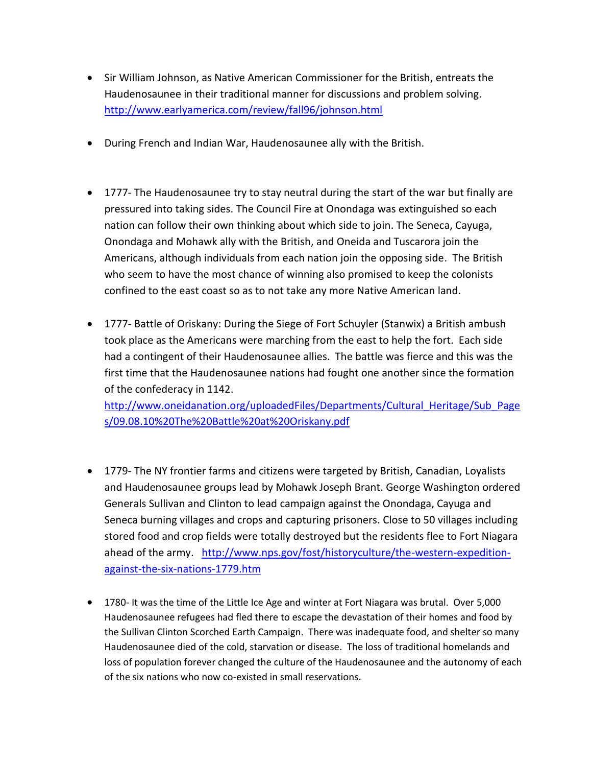- Sir William Johnson, as Native American Commissioner for the British, entreats the Haudenosaunee in their traditional manner for discussions and problem solving. <http://www.earlyamerica.com/review/fall96/johnson.html>
- During French and Indian War, Haudenosaunee ally with the British.
- 1777- The Haudenosaunee try to stay neutral during the start of the war but finally are pressured into taking sides. The Council Fire at Onondaga was extinguished so each nation can follow their own thinking about which side to join. The Seneca, Cayuga, Onondaga and Mohawk ally with the British, and Oneida and Tuscarora join the Americans, although individuals from each nation join the opposing side. The British who seem to have the most chance of winning also promised to keep the colonists confined to the east coast so as to not take any more Native American land.
- 1777- Battle of Oriskany: During the Siege of Fort Schuyler (Stanwix) a British ambush took place as the Americans were marching from the east to help the fort. Each side had a contingent of their Haudenosaunee allies. The battle was fierce and this was the first time that the Haudenosaunee nations had fought one another since the formation of the confederacy in 1142.

[http://www.oneidanation.org/uploadedFiles/Departments/Cultural\\_Heritage/Sub\\_Page](http://www.oneidanation.org/uploadedFiles/Departments/Cultural_Heritage/Sub_Pages/09.08.10%20The%20Battle%20at%20Oriskany.pdf) [s/09.08.10%20The%20Battle%20at%20Oriskany.pdf](http://www.oneidanation.org/uploadedFiles/Departments/Cultural_Heritage/Sub_Pages/09.08.10%20The%20Battle%20at%20Oriskany.pdf)

- 1779- The NY frontier farms and citizens were targeted by British, Canadian, Loyalists and Haudenosaunee groups lead by Mohawk Joseph Brant. George Washington ordered Generals Sullivan and Clinton to lead campaign against the Onondaga, Cayuga and Seneca burning villages and crops and capturing prisoners. Close to 50 villages including stored food and crop fields were totally destroyed but the residents flee to Fort Niagara ahead of the army. [http://www.nps.gov/fost/historyculture/the-western-expedition](http://www.nps.gov/fost/historyculture/the-western-expedition-against-the-six-nations-1779.htm)[against-the-six-nations-1779.htm](http://www.nps.gov/fost/historyculture/the-western-expedition-against-the-six-nations-1779.htm)
- 1780- It was the time of the Little Ice Age and winter at Fort Niagara was brutal. Over 5,000 Haudenosaunee refugees had fled there to escape the devastation of their homes and food by the Sullivan Clinton Scorched Earth Campaign. There was inadequate food, and shelter so many Haudenosaunee died of the cold, starvation or disease. The loss of traditional homelands and loss of population forever changed the culture of the Haudenosaunee and the autonomy of each of the six nations who now co-existed in small reservations.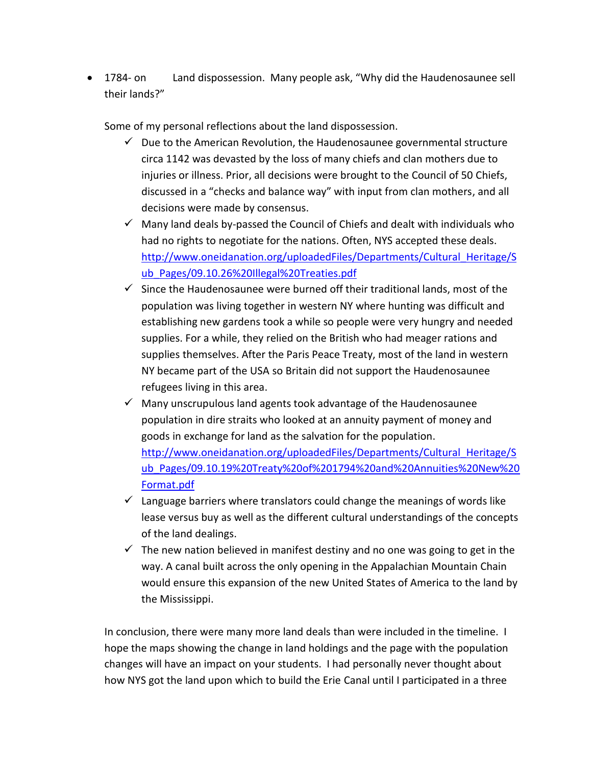• 1784- on Land dispossession. Many people ask, "Why did the Haudenosaunee sell their lands?"

Some of my personal reflections about the land dispossession.

- $\checkmark$  Due to the American Revolution, the Haudenosaunee governmental structure circa 1142 was devasted by the loss of many chiefs and clan mothers due to injuries or illness. Prior, all decisions were brought to the Council of 50 Chiefs, discussed in a "checks and balance way" with input from clan mothers, and all decisions were made by consensus.
- $\checkmark$  Many land deals by-passed the Council of Chiefs and dealt with individuals who had no rights to negotiate for the nations. Often, NYS accepted these deals. [http://www.oneidanation.org/uploadedFiles/Departments/Cultural\\_Heritage/S](http://www.oneidanation.org/uploadedFiles/Departments/Cultural_Heritage/Sub_Pages/09.10.26%20Illegal%20Treaties.pdf) [ub\\_Pages/09.10.26%20Illegal%20Treaties.pdf](http://www.oneidanation.org/uploadedFiles/Departments/Cultural_Heritage/Sub_Pages/09.10.26%20Illegal%20Treaties.pdf)
- $\checkmark$  Since the Haudenosaunee were burned off their traditional lands, most of the population was living together in western NY where hunting was difficult and establishing new gardens took a while so people were very hungry and needed supplies. For a while, they relied on the British who had meager rations and supplies themselves. After the Paris Peace Treaty, most of the land in western NY became part of the USA so Britain did not support the Haudenosaunee refugees living in this area.
- $\checkmark$  Many unscrupulous land agents took advantage of the Haudenosaunee population in dire straits who looked at an annuity payment of money and goods in exchange for land as the salvation for the population. [http://www.oneidanation.org/uploadedFiles/Departments/Cultural\\_Heritage/S](http://www.oneidanation.org/uploadedFiles/Departments/Cultural_Heritage/Sub_Pages/09.10.19%20Treaty%20of%201794%20and%20Annuities%20New%20Format.pdf) [ub\\_Pages/09.10.19%20Treaty%20of%201794%20and%20Annuities%20New%20](http://www.oneidanation.org/uploadedFiles/Departments/Cultural_Heritage/Sub_Pages/09.10.19%20Treaty%20of%201794%20and%20Annuities%20New%20Format.pdf) [Format.pdf](http://www.oneidanation.org/uploadedFiles/Departments/Cultural_Heritage/Sub_Pages/09.10.19%20Treaty%20of%201794%20and%20Annuities%20New%20Format.pdf)
- $\checkmark$  Language barriers where translators could change the meanings of words like lease versus buy as well as the different cultural understandings of the concepts of the land dealings.
- $\checkmark$  The new nation believed in manifest destiny and no one was going to get in the way. A canal built across the only opening in the Appalachian Mountain Chain would ensure this expansion of the new United States of America to the land by the Mississippi.

In conclusion, there were many more land deals than were included in the timeline. I hope the maps showing the change in land holdings and the page with the population changes will have an impact on your students. I had personally never thought about how NYS got the land upon which to build the Erie Canal until I participated in a three